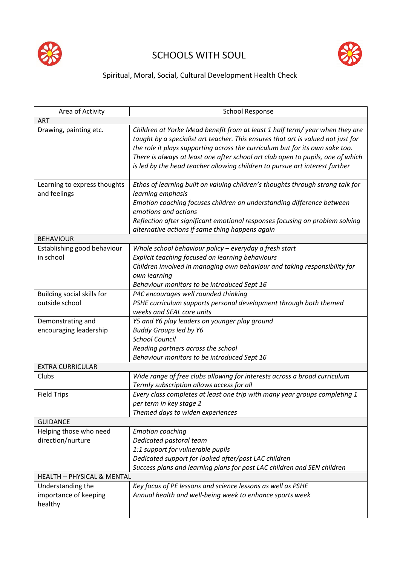

## SCHOOLS WITH SOUL



## Spiritual, Moral, Social, Cultural Development Health Check

| Area of Activity                                      | <b>School Response</b>                                                                                                                                                                                                                                                                                                                                                                                             |  |
|-------------------------------------------------------|--------------------------------------------------------------------------------------------------------------------------------------------------------------------------------------------------------------------------------------------------------------------------------------------------------------------------------------------------------------------------------------------------------------------|--|
| ART                                                   |                                                                                                                                                                                                                                                                                                                                                                                                                    |  |
| Drawing, painting etc.                                | Children at Yorke Mead benefit from at least 1 half term/ year when they are<br>taught by a specialist art teacher. This ensures that art is valued not just for<br>the role it plays supporting across the curriculum but for its own sake too.<br>There is always at least one after school art club open to pupils, one of which<br>is led by the head teacher allowing children to pursue art interest further |  |
| Learning to express thoughts<br>and feelings          | Ethos of learning built on valuing children's thoughts through strong talk for<br>learning emphasis<br>Emotion coaching focuses children on understanding difference between<br>emotions and actions<br>Reflection after significant emotional responses focusing on problem solving<br>alternative actions if same thing happens again                                                                            |  |
| <b>BEHAVIOUR</b>                                      |                                                                                                                                                                                                                                                                                                                                                                                                                    |  |
| Establishing good behaviour<br>in school              | Whole school behaviour policy - everyday a fresh start<br>Explicit teaching focused on learning behaviours<br>Children involved in managing own behaviour and taking responsibility for<br>own learning<br>Behaviour monitors to be introduced Sept 16                                                                                                                                                             |  |
| Building social skills for<br>outside school          | P4C encourages well rounded thinking<br>PSHE curriculum supports personal development through both themed<br>weeks and SEAL core units                                                                                                                                                                                                                                                                             |  |
| Demonstrating and<br>encouraging leadership           | Y5 and Y6 play leaders on younger play ground<br><b>Buddy Groups led by Y6</b><br><b>School Council</b><br>Reading partners across the school<br>Behaviour monitors to be introduced Sept 16                                                                                                                                                                                                                       |  |
| <b>EXTRA CURRICULAR</b>                               |                                                                                                                                                                                                                                                                                                                                                                                                                    |  |
| Clubs                                                 | Wide range of free clubs allowing for interests across a broad curriculum<br>Termly subscription allows access for all                                                                                                                                                                                                                                                                                             |  |
| <b>Field Trips</b>                                    | Every class completes at least one trip with many year groups completing 1<br>per term in key stage 2<br>Themed days to widen experiences                                                                                                                                                                                                                                                                          |  |
| <b>GUIDANCE</b>                                       |                                                                                                                                                                                                                                                                                                                                                                                                                    |  |
| Helping those who need<br>direction/nurture           | <b>Emotion coaching</b><br>Dedicated pastoral team<br>1:1 support for vulnerable pupils<br>Dedicated support for looked after/post LAC children<br>Success plans and learning plans for post LAC children and SEN children                                                                                                                                                                                         |  |
| <b>HEALTH - PHYSICAL &amp; MENTAL</b>                 |                                                                                                                                                                                                                                                                                                                                                                                                                    |  |
| Understanding the<br>importance of keeping<br>healthy | Key focus of PE lessons and science lessons as well as PSHE<br>Annual health and well-being week to enhance sports week                                                                                                                                                                                                                                                                                            |  |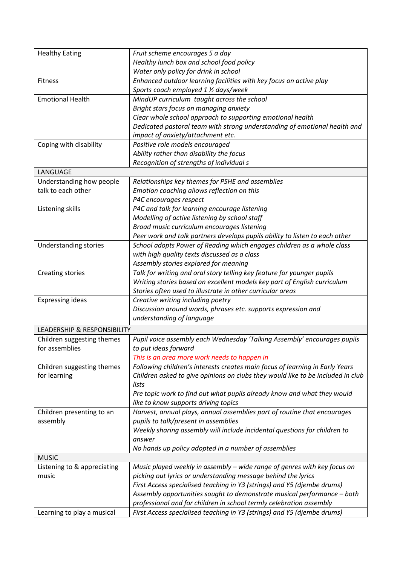| <b>Healthy Eating</b>                  | Fruit scheme encourages 5 a day                                                 |
|----------------------------------------|---------------------------------------------------------------------------------|
|                                        | Healthy lunch box and school food policy                                        |
|                                        | Water only policy for drink in school                                           |
| <b>Fitness</b>                         | Enhanced outdoor learning facilities with key focus on active play              |
|                                        | Sports coach employed 1 1/2 days/week                                           |
| <b>Emotional Health</b>                | MindUP curriculum taught across the school                                      |
|                                        |                                                                                 |
|                                        | Bright stars focus on managing anxiety                                          |
|                                        | Clear whole school approach to supporting emotional health                      |
|                                        | Dedicated pastoral team with strong understanding of emotional health and       |
|                                        | impact of anxiety/attachment etc.                                               |
| Coping with disability                 | Positive role models encouraged                                                 |
|                                        | Ability rather than disability the focus                                        |
|                                        | Recognition of strengths of individual s                                        |
| LANGUAGE                               |                                                                                 |
| Understanding how people               | Relationships key themes for PSHE and assemblies                                |
| talk to each other                     | Emotion coaching allows reflection on this                                      |
|                                        | P4C encourages respect                                                          |
| Listening skills                       | P4C and talk for learning encourage listening                                   |
|                                        | Modelling of active listening by school staff                                   |
|                                        | Broad music curriculum encourages listening                                     |
|                                        | Peer work and talk partners develops pupils ability to listen to each other     |
| <b>Understanding stories</b>           | School adopts Power of Reading which engages children as a whole class          |
|                                        | with high quality texts discussed as a class                                    |
|                                        | Assembly stories explored for meaning                                           |
| <b>Creating stories</b>                | Talk for writing and oral story telling key feature for younger pupils          |
|                                        | Writing stories based on excellent models key part of English curriculum        |
|                                        |                                                                                 |
|                                        | Stories often used to illustrate in other curricular areas                      |
| <b>Expressing ideas</b>                | Creative writing including poetry                                               |
|                                        | Discussion around words, phrases etc. supports expression and                   |
|                                        | understanding of language                                                       |
| <b>LEADERSHIP &amp; RESPONSIBILITY</b> |                                                                                 |
| Children suggesting themes             | Pupil voice assembly each Wednesday 'Talking Assembly' encourages pupils        |
| for assemblies                         | to put ideas forward                                                            |
|                                        | This is an area more work needs to happen in                                    |
| Children suggesting themes             | Following children's interests creates main focus of learning in Early Years    |
| for learning                           | Children asked to give opinions on clubs they would like to be included in club |
|                                        | lists                                                                           |
|                                        | Pre topic work to find out what pupils already know and what they would         |
|                                        | like to know supports driving topics                                            |
| Children presenting to an              | Harvest, annual plays, annual assemblies part of routine that encourages        |
| assembly                               | pupils to talk/present in assemblies                                            |
|                                        | Weekly sharing assembly will include incidental questions for children to       |
|                                        | answer                                                                          |
|                                        | No hands up policy adopted in a number of assemblies                            |
| <b>MUSIC</b>                           |                                                                                 |
| Listening to & appreciating            | Music played weekly in assembly - wide range of genres with key focus on        |
| music                                  | picking out lyrics or understanding message behind the lyrics                   |
|                                        |                                                                                 |
|                                        | First Access specialised teaching in Y3 (strings) and Y5 (djembe drums)         |
|                                        | Assembly opportunities sought to demonstrate musical performance - both         |
|                                        | professional and for children in school termly celebration assembly             |
| Learning to play a musical             | First Access specialised teaching in Y3 (strings) and Y5 (djembe drums)         |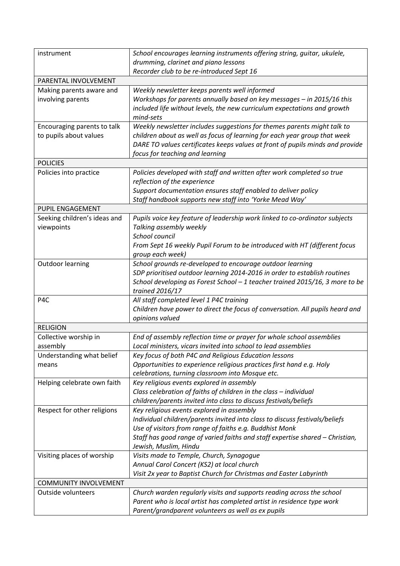| instrument                   | School encourages learning instruments offering string, guitar, ukulele,                                                              |  |
|------------------------------|---------------------------------------------------------------------------------------------------------------------------------------|--|
|                              | drumming, clarinet and piano lessons                                                                                                  |  |
|                              | Recorder club to be re-introduced Sept 16                                                                                             |  |
| PARENTAL INVOLVEMENT         |                                                                                                                                       |  |
| Making parents aware and     | Weekly newsletter keeps parents well informed                                                                                         |  |
| involving parents            | Workshops for parents annually based on key messages - in 2015/16 this                                                                |  |
|                              | included life without levels, the new curriculum expectations and growth<br>mind-sets                                                 |  |
| Encouraging parents to talk  | Weekly newsletter includes suggestions for themes parents might talk to                                                               |  |
| to pupils about values       | children about as well as focus of learning for each year group that week                                                             |  |
|                              | DARE TO values certificates keeps values at front of pupils minds and provide                                                         |  |
|                              | focus for teaching and learning                                                                                                       |  |
| <b>POLICIES</b>              |                                                                                                                                       |  |
| Policies into practice       | Policies developed with staff and written after work completed so true                                                                |  |
|                              | reflection of the experience                                                                                                          |  |
|                              | Support documentation ensures staff enabled to deliver policy                                                                         |  |
|                              | Staff handbook supports new staff into 'Yorke Mead Way'                                                                               |  |
| <b>PUPIL ENGAGEMENT</b>      |                                                                                                                                       |  |
| Seeking children's ideas and | Pupils voice key feature of leadership work linked to co-ordinator subjects                                                           |  |
| viewpoints                   | Talking assembly weekly                                                                                                               |  |
|                              | School council<br>From Sept 16 weekly Pupil Forum to be introduced with HT (different focus                                           |  |
|                              | group each week)                                                                                                                      |  |
| <b>Outdoor learning</b>      | School grounds re-developed to encourage outdoor learning                                                                             |  |
|                              | SDP prioritised outdoor learning 2014-2016 in order to establish routines                                                             |  |
|                              | School developing as Forest School - 1 teacher trained 2015/16, 3 more to be                                                          |  |
|                              | trained 2016/17                                                                                                                       |  |
| P4C                          | All staff completed level 1 P4C training                                                                                              |  |
|                              | Children have power to direct the focus of conversation. All pupils heard and                                                         |  |
|                              | opinions valued                                                                                                                       |  |
| <b>RELIGION</b>              |                                                                                                                                       |  |
| Collective worship in        | End of assembly reflection time or prayer for whole school assemblies                                                                 |  |
| assembly                     | Local ministers, vicars invited into school to lead assemblies                                                                        |  |
| Understanding what belief    | Key focus of both P4C and Religious Education lessons                                                                                 |  |
| means                        | Opportunities to experience religious practices first hand e.g. Holy                                                                  |  |
|                              | celebrations, turning classroom into Mosque etc.                                                                                      |  |
| Helping celebrate own faith  | Key religious events explored in assembly                                                                                             |  |
|                              | Class celebration of faiths of children in the class - individual<br>children/parents invited into class to discuss festivals/beliefs |  |
| Respect for other religions  | Key religious events explored in assembly                                                                                             |  |
|                              | Individual children/parents invited into class to discuss festivals/beliefs                                                           |  |
|                              | Use of visitors from range of faiths e.g. Buddhist Monk                                                                               |  |
|                              | Staff has good range of varied faiths and staff expertise shared - Christian,                                                         |  |
|                              | Jewish, Muslim, Hindu                                                                                                                 |  |
| Visiting places of worship   | Visits made to Temple, Church, Synagogue                                                                                              |  |
|                              | Annual Carol Concert (KS2) at local church                                                                                            |  |
|                              | Visit 2x year to Baptist Church for Christmas and Easter Labyrinth                                                                    |  |
| <b>COMMUNITY INVOLVEMENT</b> |                                                                                                                                       |  |
| Outside volunteers           | Church warden regularly visits and supports reading across the school                                                                 |  |
|                              | Parent who is local artist has completed artist in residence type work                                                                |  |
|                              | Parent/grandparent volunteers as well as ex pupils                                                                                    |  |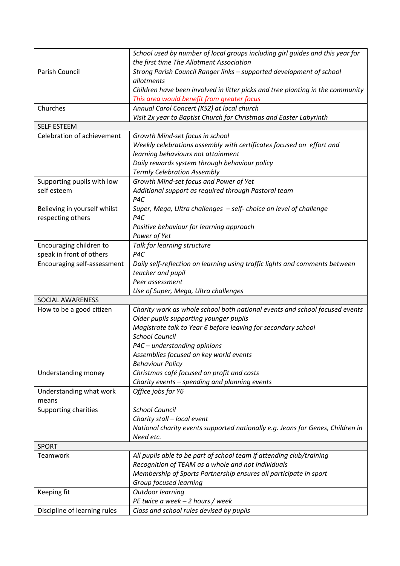|                              | School used by number of local groups including girl guides and this year for  |
|------------------------------|--------------------------------------------------------------------------------|
|                              | the first time The Allotment Association                                       |
| Parish Council               | Strong Parish Council Ranger links - supported development of school           |
|                              | allotments                                                                     |
|                              | Children have been involved in litter picks and tree planting in the community |
|                              | This area would benefit from greater focus                                     |
| Churches                     | Annual Carol Concert (KS2) at local church                                     |
|                              | Visit 2x year to Baptist Church for Christmas and Easter Labyrinth             |
| <b>SELF ESTEEM</b>           |                                                                                |
| Celebration of achievement   | Growth Mind-set focus in school                                                |
|                              | Weekly celebrations assembly with certificates focused on effort and           |
|                              | learning behaviours not attainment                                             |
|                              | Daily rewards system through behaviour policy                                  |
|                              | <b>Termly Celebration Assembly</b>                                             |
| Supporting pupils with low   | Growth Mind-set focus and Power of Yet                                         |
| self esteem                  | Additional support as required through Pastoral team                           |
|                              | P4C                                                                            |
| Believing in yourself whilst | Super, Mega, Ultra challenges - self- choice on level of challenge             |
| respecting others            | P4C                                                                            |
|                              | Positive behaviour for learning approach                                       |
|                              | Power of Yet                                                                   |
| Encouraging children to      | Talk for learning structure                                                    |
| speak in front of others     | P <sub>4C</sub>                                                                |
| Encouraging self-assessment  | Daily self-reflection on learning using traffic lights and comments between    |
|                              | teacher and pupil                                                              |
|                              | Peer assessment                                                                |
|                              | Use of Super, Mega, Ultra challenges                                           |
| SOCIAL AWARENESS             |                                                                                |
| How to be a good citizen     | Charity work as whole school both national events and school focused events    |
|                              | Older pupils supporting younger pupils                                         |
|                              | Magistrate talk to Year 6 before leaving for secondary school                  |
|                              | <b>School Council</b>                                                          |
|                              | P4C - understanding opinions                                                   |
|                              | Assemblies focused on key world events                                         |
|                              | <b>Behaviour Policy</b>                                                        |
| Understanding money          | Christmas café focused on profit and costs                                     |
|                              | Charity events - spending and planning events                                  |
| Understanding what work      | Office jobs for Y6                                                             |
| means                        |                                                                                |
| Supporting charities         | <b>School Council</b>                                                          |
|                              | Charity stall - local event                                                    |
|                              | National charity events supported nationally e.g. Jeans for Genes, Children in |
|                              | Need etc.                                                                      |
| <b>SPORT</b>                 |                                                                                |
| Teamwork                     | All pupils able to be part of school team if attending club/training           |
|                              | Recognition of TEAM as a whole and not individuals                             |
|                              | Membership of Sports Partnership ensures all participate in sport              |
|                              | Group focused learning                                                         |
| Keeping fit                  | <b>Outdoor learning</b>                                                        |
|                              | PE twice a week - 2 hours / week                                               |
| Discipline of learning rules | Class and school rules devised by pupils                                       |